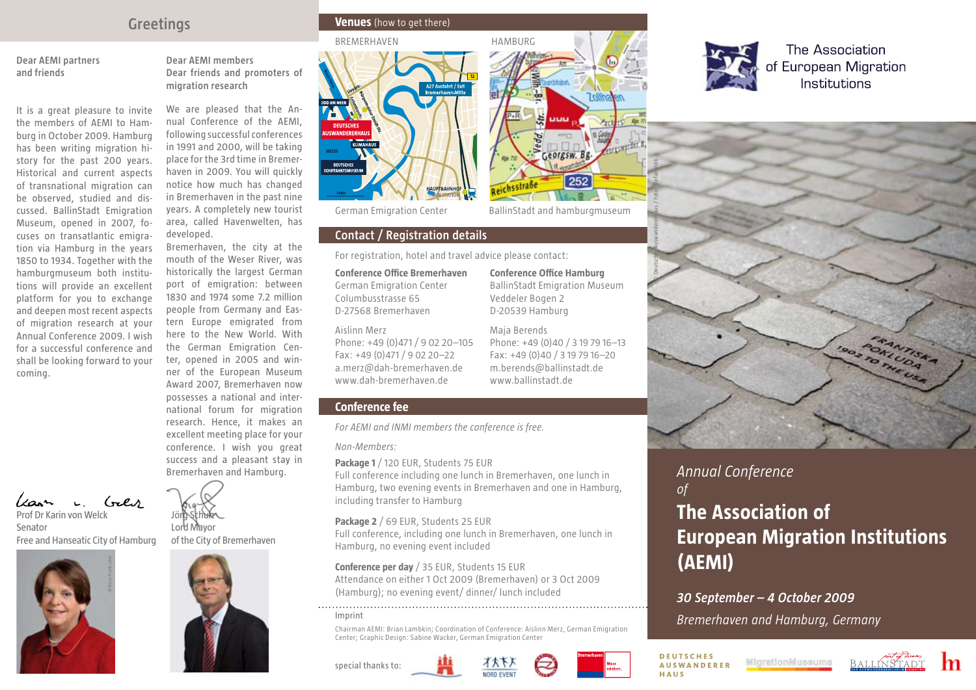# **Greetings**

**Dear AEMI partners and friends** 

It is a great pleasure to invite the members of AEMI to Hamburg in October 2009. Hamburg has been writing migration history for the past 200 years. Historical and current aspects of transnational migration can be observed, studied and discussed. BallinStadt Emigration Museum, opened in 2007, focuses on transatlantic emigration via Hamburg in the years 1850 to 1934. Together with the hamburgmuseum both institutions will provide an excellent platform for you to exchange and deepen most recent aspects of migration research at your Annual Conference 2009. I wish for a successful conference and shall be looking forward to your coming.

**Dear AEMI members Dear friends and promoters of migration research**

We are pleased that the Annual Conference of the AEMI, following successful conferences in 1991 and 2000, will be taking place for the 3rd time in Bremerhaven in 2009. You will quickly notice how much has changed in Bremerhaven in the past nine years. A completely new tourist area, called Havenwelten, has developed.

Bremerhaven, the city at the mouth of the Weser River, was historically the largest German port of emigration: between 1830 and 1974 some 7.2 million people from Germany and Eastern Europe emigrated from here to the New World. With the German Emigration Center, opened in 2005 and winner of the European Museum Award 2007, Bremerhaven now possesses a national and international forum for migration research. Hence, it makes an excellent meeting place for your conference. I wish you great success and a pleasant stay in

Bremerhaven and Hamburg.

Prof Dr Karin von Welck

Senator Free and Hanseatic City of Hamburg





Jör**g Schulz** 

### **Venues** (how to get there)





German Emigration Center BallinStadt and hamburgmuseum

### **Contact / Registration details**

For registration, hotel and travel advice please contact:

**Conference Office Hamburg** BallinStadt Emigration Museum

Georgsw. Bg

252

Phone: +49 (0)40 / 3 19 79 16–13 Fax: +49 (0)40 / 3 19 79 16–20 m.berends@ballinstadt.de www.ballinstadt.de

Veddeler Bogen 2 D-20539 Hamburg Maja Berends

Reichsstraße

**Conference Office Bremerhaven** German Emigration Center Columbusstrasse 65 D-27568 Bremerhaven

### Aislinn Merz

Phone: +49 (0)471 / 9 02 20–105 Fax: +49 (0)471 / 9 02 20–22 a.merz@dah-bremerhaven.de www.dah-bremerhaven.de

### **Conference fee**

*For AEMI and INMI members the conference is free.*

### *Non-Members:*

**Package 1** / 120 EUR, Students 75 EUR

Full conference including one lunch in Bremerhaven, one lunch in Hamburg, two evening events in Bremerhaven and one in Hamburg, including transfer to Hamburg

### **Package 2** / 69 EUR, Students 25 EUR

Full conference, including one lunch in Bremerhaven, one lunch in Hamburg, no evening event included

# **Conference per day** / 35 EUR, Students 15 EUR Attendance on either 1 Oct 2009 (Bremerhaven) or 3 Oct 2009

(Hamburg); no evening event/ dinner/ lunch included 

#### Imprint

Chairman AEMI: Brian Lambkin; Coordination of Conference: Aislinn Merz, German Emigration Center; Graphic Design: Sabine Wacker, German Emigration Center

special thanks to:







The Association of European Migration Institutions



# *Annual Conference of*

# **The Association of European Migration Institutions (AEMI)**

## *30 September – 4 October 2009*

*Bremerhaven and Hamburg, Germany*

**DEUTSCHES AUSWANDERER** HAUS

MicrationMussums